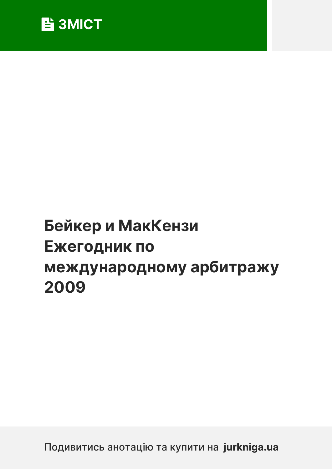

# **Бейкер и МакКензи [Ежегодник по](https://jurkniga.ua/the-baker-mckenzie-international-arbitration-yearbook-2009/?utm_source=pdf&utm_medium=referral&utm_campaign=pdf&utm_content=%D0%91%D0%B5%D0%B9%D0%BA%D0%B5%D1%80+%D0%B8+%D0%9C%D0%B0%D0%BA%D0%9A%D0%B5%D0%BD%D0%B7%D0%B8+%D0%95%D0%B6%D0%B5%D0%B3%D0%BE%D0%B4%D0%BD%D0%B8%D0%BA+%D0%BF%D0%BE+%D0%BC%D0%B5%D0%B6%D0%B4%D1%83%D0%BD%D0%B0%D1%80%D0%BE%D0%B4%D0%BD%D0%BE%D0%BC%D1%83+%D0%B0%D1%80%D0%B1%D0%B8%D1%82%D1%80%D0%B0%D0%B6%D1%83+2009) [международн](https://jurkniga.ua/the-baker-mckenzie-international-arbitration-yearbook-2009/?utm_source=pdf&utm_medium=referral&utm_campaign=pdf&utm_content=%D0%91%D0%B5%D0%B9%D0%BA%D0%B5%D1%80+%D0%B8+%D0%9C%D0%B0%D0%BA%D0%9A%D0%B5%D0%BD%D0%B7%D0%B8+%D0%95%D0%B6%D0%B5%D0%B3%D0%BE%D0%B4%D0%BD%D0%B8%D0%BA+%D0%BF%D0%BE+%D0%BC%D0%B5%D0%B6%D0%B4%D1%83%D0%BD%D0%B0%D1%80%D0%BE%D0%B4%D0%BD%D0%BE%D0%BC%D1%83+%D0%B0%D1%80%D0%B1%D0%B8%D1%82%D1%80%D0%B0%D0%B6%D1%83+2009)ому арбитражу [2009](https://jurkniga.ua/the-baker-mckenzie-international-arbitration-yearbook-2009/?utm_source=pdf&utm_medium=referral&utm_campaign=pdf&utm_content=%D0%91%D0%B5%D0%B9%D0%BA%D0%B5%D1%80+%D0%B8+%D0%9C%D0%B0%D0%BA%D0%9A%D0%B5%D0%BD%D0%B7%D0%B8+%D0%95%D0%B6%D0%B5%D0%B3%D0%BE%D0%B4%D0%BD%D0%B8%D0%BA+%D0%BF%D0%BE+%D0%BC%D0%B5%D0%B6%D0%B4%D1%83%D0%BD%D0%B0%D1%80%D0%BE%D0%B4%D0%BD%D0%BE%D0%BC%D1%83+%D0%B0%D1%80%D0%B1%D0%B8%D1%82%D1%80%D0%B0%D0%B6%D1%83+2009)**

Подивитись анотацію та купити на **jurkniga.ua**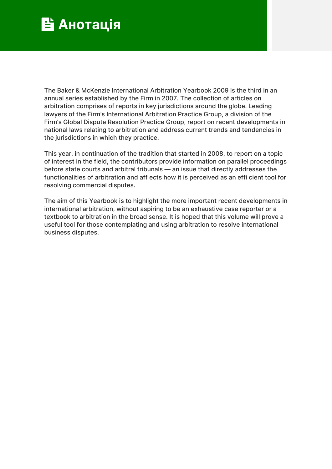

The Baker & McKenzie International Arbitration Yearbook 2009 is the third in an annual series established by the Firm in 2007. The collection of articles on arbitration comprises of reports in key jurisdictions around the globe. Leading lawyers of the Firm's International Arbitration Practice Group, a division of the Firm's Global Dispute Resolution Practice Group, report on recent developments in national laws relating to arbitration and address current trends and tendencies in the jurisdictions in which they practice.

This year, in continuation of the tradition that started in 2008, to report on a topic of interest in the field, the contributors provide information on parallel proceedings before state courts and arbitral tribunals — an issue that directly addresses the functionalities of arbitration and aff ects how it is perceived as an effi cient tool for resolving commercial disputes.

The aim of this Yearbook is to highlight the more important recent developments in international arbitration, without aspiring to be an exhaustive case reporter or a textbook to arbitration in the broad sense. It is hoped that this volume will prove a useful tool for those contemplating and using arbitration to resolve international business disputes.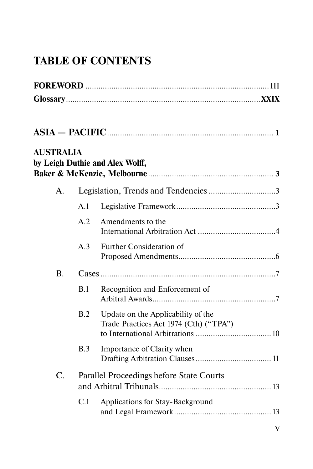## **TABLE OF CONTENTS**

| <b>AUSTRALIA</b> |     | by Leigh Duthie and Alex Wolff,                                              |  |
|------------------|-----|------------------------------------------------------------------------------|--|
| A.               |     |                                                                              |  |
|                  | A.1 |                                                                              |  |
|                  | A.2 | Amendments to the                                                            |  |
|                  | A.3 | Further Consideration of                                                     |  |
| <b>B.</b>        |     |                                                                              |  |
|                  | B.1 | Recognition and Enforcement of                                               |  |
|                  | B.2 | Update on the Applicability of the<br>Trade Practices Act 1974 (Cth) ("TPA") |  |
|                  | B.3 | Importance of Clarity when                                                   |  |
| C.               |     | Parallel Proceedings before State Courts                                     |  |
|                  | C.1 | Applications for Stay-Background                                             |  |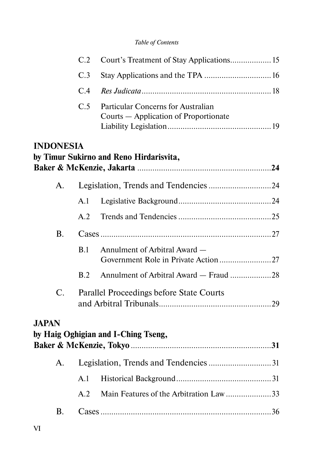|                  | C.2            | Court's Treatment of Stay Applications 15                                   |  |
|------------------|----------------|-----------------------------------------------------------------------------|--|
|                  | C <sub>3</sub> |                                                                             |  |
|                  | C.4            |                                                                             |  |
|                  | C.5            | Particular Concerns for Australian<br>Courts – Application of Proportionate |  |
| <b>INDONESIA</b> |                | by Timur Sukirno and Reno Hirdarisvita,                                     |  |
| A.               |                |                                                                             |  |
|                  | A.1            |                                                                             |  |
|                  | A.2            |                                                                             |  |
| <b>B.</b>        |                |                                                                             |  |
|                  | B.1            | Annulment of Arbitral Award -                                               |  |
|                  | B.2            | Annulment of Arbitral Award - Fraud 28                                      |  |
| C.               |                | Parallel Proceedings before State Courts                                    |  |
| <b>JAPAN</b>     |                | by Haig Oghigian and I-Ching Tseng,                                         |  |
| A.               |                | Legislation, Trends and Tendencies 31                                       |  |
|                  | A.1            |                                                                             |  |
|                  | A.2            | Main Features of the Arbitration Law33                                      |  |
| В.               |                |                                                                             |  |
|                  |                |                                                                             |  |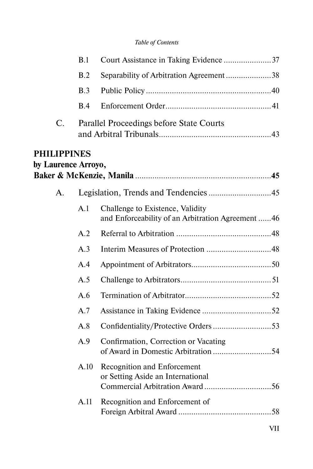|                                           | B.1  |                                                                                       |
|-------------------------------------------|------|---------------------------------------------------------------------------------------|
|                                           | B.2  | Separability of Arbitration Agreement38                                               |
|                                           | B.3  |                                                                                       |
|                                           | B.4  |                                                                                       |
| $\mathbf{C}$ .                            |      | Parallel Proceedings before State Courts                                              |
| <b>PHILIPPINES</b><br>by Laurence Arroyo, |      |                                                                                       |
| A.                                        |      |                                                                                       |
|                                           | A.1  | Challenge to Existence, Validity<br>and Enforceability of an Arbitration Agreement 46 |
|                                           | A.2  |                                                                                       |
|                                           | A.3  |                                                                                       |
|                                           | A.4  |                                                                                       |
|                                           | A.5  |                                                                                       |
|                                           | A.6  |                                                                                       |
|                                           | A.7  |                                                                                       |
|                                           | A.8  | Confidentiality/Protective Orders 53                                                  |
|                                           | A.9  | Confirmation, Correction or Vacating                                                  |
|                                           | A.10 | Recognition and Enforcement<br>or Setting Aside an International                      |
|                                           | A.11 | Recognition and Enforcement of                                                        |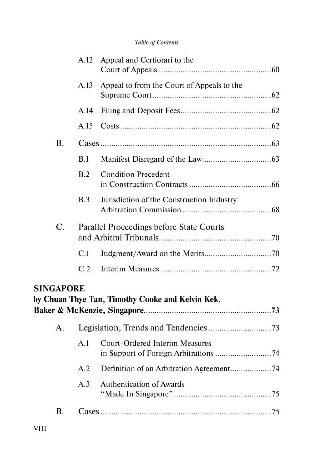|                  | A.12 | Appeal and Certiorari to the                     |  |
|------------------|------|--------------------------------------------------|--|
|                  | A.13 | Appeal to from the Court of Appeals to the       |  |
|                  | A.14 |                                                  |  |
|                  | A.15 |                                                  |  |
| $\bf{B}$ .       |      |                                                  |  |
|                  | B.1  |                                                  |  |
|                  | B.2  | <b>Condition Precedent</b>                       |  |
|                  | B.3  | Jurisdiction of the Construction Industry        |  |
| C.               |      | Parallel Proceedings before State Courts         |  |
|                  | C.1  |                                                  |  |
|                  | C.2  |                                                  |  |
| <b>SINGAPORE</b> |      | by Chuan Thye Tan, Timothy Cooke and Kelvin Kek, |  |
| $\mathsf{A}$ .   |      |                                                  |  |
|                  | A.1  | <b>Court-Ordered Interim Measures</b>            |  |
|                  | A.2  | Definition of an Arbitration Agreement74         |  |
|                  | A.3  | <b>Authentication of Awards</b>                  |  |
| <b>B.</b>        |      |                                                  |  |

VIII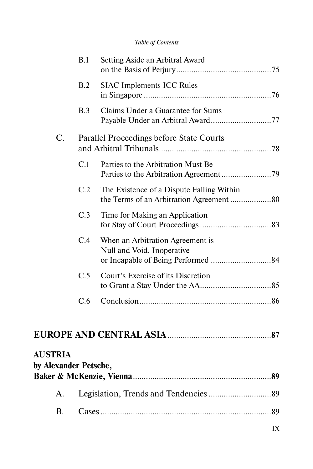|                                         | B.1 | Setting Aside an Arbitral Award                                                       |  |
|-----------------------------------------|-----|---------------------------------------------------------------------------------------|--|
|                                         | B.2 | <b>SIAC Implements ICC Rules</b>                                                      |  |
|                                         | B.3 | Claims Under a Guarantee for Sums                                                     |  |
| C.                                      |     | Parallel Proceedings before State Courts                                              |  |
|                                         | C.1 | Parties to the Arbitration Must Be                                                    |  |
|                                         | C.2 | The Existence of a Dispute Falling Within<br>the Terms of an Arbitration Agreement 80 |  |
|                                         | C.3 | Time for Making an Application                                                        |  |
|                                         | C.4 | When an Arbitration Agreement is<br>Null and Void, Inoperative                        |  |
|                                         | C.5 | Court's Exercise of its Discretion                                                    |  |
|                                         | C.6 |                                                                                       |  |
|                                         |     |                                                                                       |  |
| <b>AUSTRIA</b><br>by Alexander Petsche, |     |                                                                                       |  |

A. Legislation, Trends and Tendencies .............................89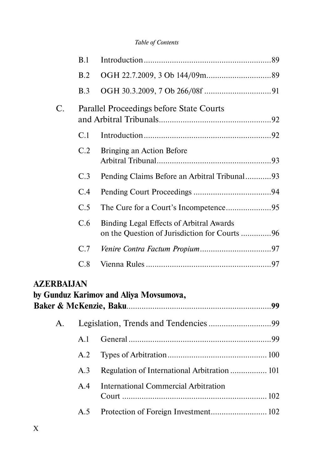|   | B.1            |                                              |  |
|---|----------------|----------------------------------------------|--|
|   | B.2            |                                              |  |
|   | B.3            |                                              |  |
| C |                | Parallel Proceedings before State Courts     |  |
|   | C <sub>1</sub> |                                              |  |
|   | C.2            | Bringing an Action Before                    |  |
|   | C.3            | Pending Claims Before an Arbitral Tribunal93 |  |
|   | C.4            |                                              |  |
|   | C.5            |                                              |  |
|   | C.6            | Binding Legal Effects of Arbitral Awards     |  |
|   | C.7            |                                              |  |
|   | C.8            |                                              |  |
|   |                |                                              |  |

### **AZERBAIJAN**

|    |     | by Gunduz Karimov and Aliya Movsumova,       |  |
|----|-----|----------------------------------------------|--|
| A. |     |                                              |  |
|    | A.1 |                                              |  |
|    | A.2 |                                              |  |
|    | A.3 | Regulation of International Arbitration  101 |  |
|    | A 4 | International Commercial Arbitration         |  |
|    | A.5 |                                              |  |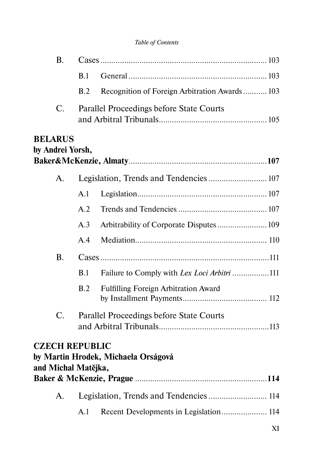| Β.                                           |     |                                               |
|----------------------------------------------|-----|-----------------------------------------------|
|                                              | B.1 |                                               |
|                                              | B.2 | Recognition of Foreign Arbitration Awards 103 |
| $\mathbf{C}$ .                               |     | Parallel Proceedings before State Courts      |
| <b>BELARUS</b><br>by Andrei Yorsh,           |     |                                               |
| A.                                           |     |                                               |
|                                              | A.1 |                                               |
|                                              | A.2 |                                               |
|                                              | A.3 | Arbitrability of Corporate Disputes 109       |
|                                              | A.4 |                                               |
| <b>B.</b>                                    |     |                                               |
|                                              | B.1 | Failure to Comply with Lex Loci Arbitri 111   |
|                                              | B.2 | Fulfilling Foreign Arbitration Award          |
| $C_{\cdot}$                                  |     | Parallel Proceedings before State Courts      |
| <b>CZECH REPUBLIC</b><br>and Michal Matějka, |     | by Martin Hrodek, Michaela Orságová           |
|                                              |     |                                               |
| А.                                           |     | Legislation, Trends and Tendencies  114       |
|                                              | A.1 | Recent Developments in Legislation 114        |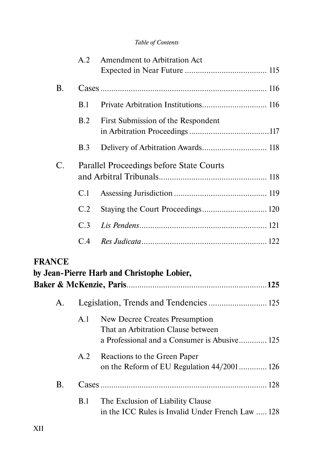|                | A.2 | Amendment to Arbitration Act                                                                                         |
|----------------|-----|----------------------------------------------------------------------------------------------------------------------|
|                |     |                                                                                                                      |
| <b>B.</b>      |     |                                                                                                                      |
|                | B.1 |                                                                                                                      |
|                | B.2 | First Submission of the Respondent                                                                                   |
|                | B.3 | Delivery of Arbitration Awards 118                                                                                   |
| C.             |     | Parallel Proceedings before State Courts                                                                             |
|                | C.1 |                                                                                                                      |
|                | C.2 | Staying the Court Proceedings 120                                                                                    |
|                | C.3 |                                                                                                                      |
|                | C.4 |                                                                                                                      |
| <b>FRANCE</b>  |     | by Jean-Pierre Harb and Christophe Lobier,                                                                           |
|                |     |                                                                                                                      |
| $\mathsf{A}$ . |     |                                                                                                                      |
|                | A.1 | New Decree Creates Presumption<br>That an Arbitration Clause between<br>a Professional and a Consumer is Abusive 125 |
|                | A.2 | Reactions to the Green Paper<br>on the Reform of EU Regulation 44/2001 126                                           |
| <b>B.</b>      |     |                                                                                                                      |
|                | B.1 | The Exclusion of Liability Clause<br>in the ICC Rules is Invalid Under French Law  128                               |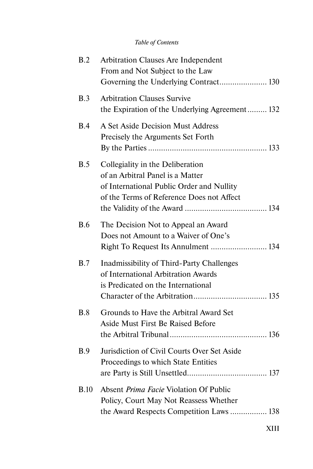| B.2        | Arbitration Clauses Are Independent<br>From and Not Subject to the Law<br>Governing the Underlying Contract 130                                                |
|------------|----------------------------------------------------------------------------------------------------------------------------------------------------------------|
| B.3        | <b>Arbitration Clauses Survive</b><br>the Expiration of the Underlying Agreement 132                                                                           |
| B.4        | A Set Aside Decision Must Address<br>Precisely the Arguments Set Forth                                                                                         |
| B.5        | Collegiality in the Deliberation<br>of an Arbitral Panel is a Matter<br>of International Public Order and Nullity<br>of the Terms of Reference Does not Affect |
| <b>B.6</b> | The Decision Not to Appeal an Award<br>Does not Amount to a Waiver of One's<br>Right To Request Its Annulment  134                                             |
| B.7        | Inadmissibility of Third-Party Challenges<br>of International Arbitration Awards<br>is Predicated on the International                                         |
| B.8        | Grounds to Have the Arbitral Award Set<br>Aside Must First Be Raised Before                                                                                    |
| B.9        | Jurisdiction of Civil Courts Over Set Aside<br>Proceedings to which State Entities                                                                             |
| B.10       | Absent <i>Prima Facie</i> Violation Of Public<br>Policy, Court May Not Reassess Whether<br>the Award Respects Competition Laws  138                            |
|            |                                                                                                                                                                |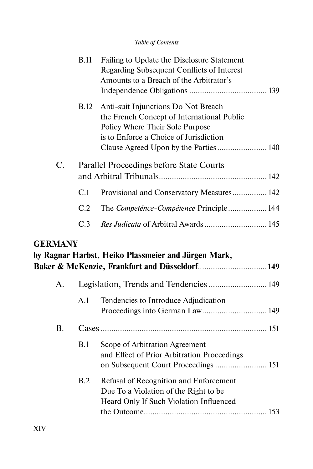|                | <b>B.11</b> | Failing to Update the Disclosure Statement<br>Regarding Subsequent Conflicts of Interest<br>Amounts to a Breach of the Arbitrator's                                                                     |
|----------------|-------------|---------------------------------------------------------------------------------------------------------------------------------------------------------------------------------------------------------|
|                | <b>B.12</b> | Anti-suit Injunctions Do Not Breach<br>the French Concept of International Public<br>Policy Where Their Sole Purpose<br>is to Enforce a Choice of Jurisdiction<br>Clause Agreed Upon by the Parties 140 |
| C.             |             | Parallel Proceedings before State Courts                                                                                                                                                                |
|                | C.1         | Provisional and Conservatory Measures 142                                                                                                                                                               |
|                | C.2         | The Competénce-Compétence Principle 144                                                                                                                                                                 |
|                | C.3         |                                                                                                                                                                                                         |
| <b>GERMANY</b> |             | by Ragnar Harbst, Heiko Plassmeier and Jürgen Mark,<br>Baker & McKenzie, Frankfurt and Düsseldorf 149                                                                                                   |
| A.             |             | Legislation, Trends and Tendencies  149                                                                                                                                                                 |
|                | A.1         | Tendencies to Introduce Adjudication<br>Proceedings into German Law 149                                                                                                                                 |
| <b>B.</b>      |             |                                                                                                                                                                                                         |
|                | B.1         | Scope of Arbitration Agreement<br>and Effect of Prior Arbitration Proceedings<br>on Subsequent Court Proceedings  151                                                                                   |
|                | B.2         | Refusal of Recognition and Enforcement<br>Due To a Violation of the Right to be<br>Heard Only If Such Violation Influenced                                                                              |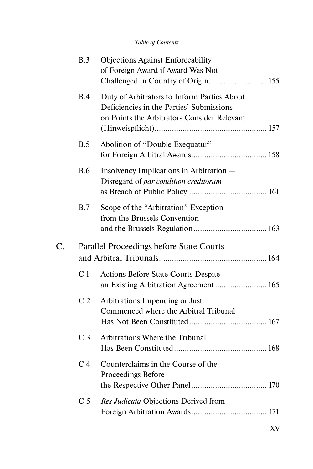|    | B.3        | <b>Objections Against Enforceability</b><br>of Foreign Award if Award Was Not<br>Challenged in Country of Origin 155                   |
|----|------------|----------------------------------------------------------------------------------------------------------------------------------------|
|    | <b>B.4</b> | Duty of Arbitrators to Inform Parties About<br>Deficiencies in the Parties' Submissions<br>on Points the Arbitrators Consider Relevant |
|    | B.5        | Abolition of "Double Exequatur"                                                                                                        |
|    | <b>B.6</b> | Insolvency Implications in Arbitration -<br>Disregard of par condition creditorum                                                      |
|    | B.7        | Scope of the "Arbitration" Exception<br>from the Brussels Convention                                                                   |
| C. |            | Parallel Proceedings before State Courts                                                                                               |
|    | C.1        | <b>Actions Before State Courts Despite</b><br>an Existing Arbitration Agreement  165                                                   |
|    | C.2        | Arbitrations Impending or Just<br>Commenced where the Arbitral Tribunal                                                                |
|    | C.3        | Arbitrations Where the Tribunal                                                                                                        |
|    | C.4        | Counterclaims in the Course of the<br>Proceedings Before                                                                               |
|    | C.5        | Res Judicata Objections Derived from                                                                                                   |
|    |            |                                                                                                                                        |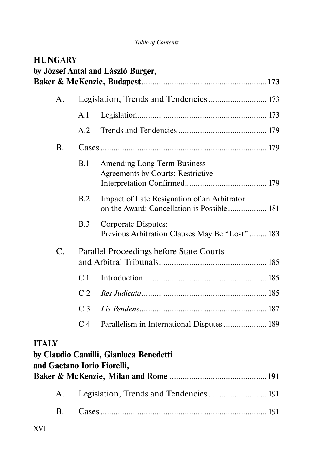| <b>HUNGARY</b>                              |     | by József Antal and László Burger,                                                        |
|---------------------------------------------|-----|-------------------------------------------------------------------------------------------|
|                                             |     |                                                                                           |
| A.                                          |     |                                                                                           |
|                                             | A.1 |                                                                                           |
|                                             | A.2 |                                                                                           |
| <b>B.</b>                                   |     |                                                                                           |
|                                             | B.1 | Amending Long-Term Business<br>Agreements by Courts: Restrictive                          |
|                                             | B.2 | Impact of Late Resignation of an Arbitrator<br>on the Award: Cancellation is Possible 181 |
|                                             | B.3 | Corporate Disputes:<br>Previous Arbitration Clauses May Be "Lost"  183                    |
| C.                                          |     | Parallel Proceedings before State Courts                                                  |
|                                             | C.1 |                                                                                           |
|                                             | C.2 |                                                                                           |
|                                             | C.3 |                                                                                           |
|                                             | C.4 | Parallelism in International Disputes  189                                                |
| <b>ITALY</b><br>and Gaetano Iorio Fiorelli, |     | by Claudio Camilli, Gianluca Benedetti                                                    |
| A.                                          |     | Legislation, Trends and Tendencies  191                                                   |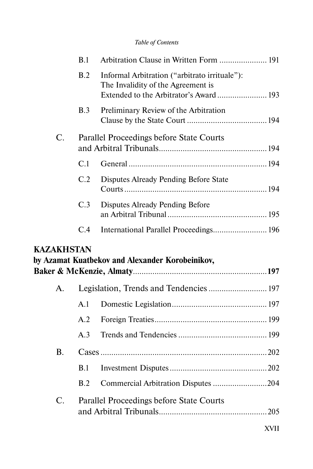|                   | B.1 | Arbitration Clause in Written Form  191                                                                                       |
|-------------------|-----|-------------------------------------------------------------------------------------------------------------------------------|
|                   | B.2 | Informal Arbitration ("arbitrato irrituale"):<br>The Invalidity of the Agreement is<br>Extended to the Arbitrator's Award 193 |
|                   | B.3 | Preliminary Review of the Arbitration                                                                                         |
| $\mathcal{C}$ .   |     | Parallel Proceedings before State Courts                                                                                      |
|                   | C.1 |                                                                                                                               |
|                   | C.2 | Disputes Already Pending Before State                                                                                         |
|                   | C.3 | Disputes Already Pending Before                                                                                               |
|                   | C.4 | International Parallel Proceedings 196                                                                                        |
|                   |     |                                                                                                                               |
| <b>KAZAKHSTAN</b> |     |                                                                                                                               |
|                   |     | by Azamat Kuatbekov and Alexander Korobeinikov,                                                                               |
| $\mathsf{A}$ .    |     | Legislation, Trends and Tendencies  197                                                                                       |
|                   | A.1 |                                                                                                                               |
|                   | A.2 |                                                                                                                               |
|                   | A.3 |                                                                                                                               |
| $\mathbf{B}$ .    |     |                                                                                                                               |
|                   | B.1 |                                                                                                                               |
|                   | B.2 | Commercial Arbitration Disputes 204                                                                                           |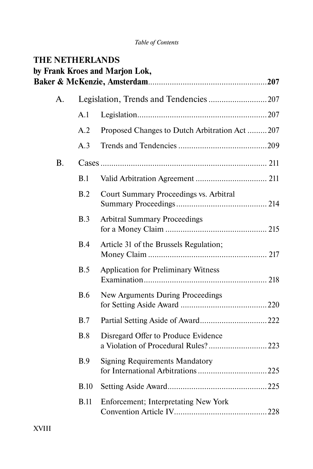| <b>THE NETHERLANDS</b> |             | by Frank Kroes and Marjon Lok,                                             |  |
|------------------------|-------------|----------------------------------------------------------------------------|--|
|                        |             |                                                                            |  |
| A.                     |             |                                                                            |  |
|                        | A.1         |                                                                            |  |
|                        | A.2         | Proposed Changes to Dutch Arbitration Act207                               |  |
|                        | A.3         |                                                                            |  |
| <b>B.</b>              |             |                                                                            |  |
|                        | B.1         |                                                                            |  |
|                        | B.2         | Court Summary Proceedings vs. Arbitral                                     |  |
|                        | B.3         | <b>Arbitral Summary Proceedings</b>                                        |  |
|                        | B.4         | Article 31 of the Brussels Regulation;                                     |  |
|                        | B.5         | <b>Application for Preliminary Witness</b>                                 |  |
|                        | <b>B.6</b>  | New Arguments During Proceedings                                           |  |
|                        | B.7         |                                                                            |  |
|                        | B.8         | Disregard Offer to Produce Evidence<br>a Violation of Procedural Rules?223 |  |
|                        | B.9         | <b>Signing Requirements Mandatory</b>                                      |  |
|                        | B.10        |                                                                            |  |
|                        | <b>B.11</b> | Enforcement; Interpretating New York                                       |  |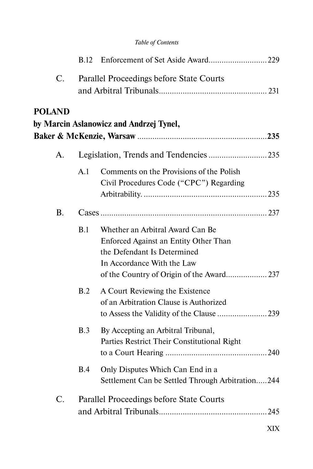| $\mathcal{C}$ .  |     | Parallel Proceedings before State Courts                                                                                                                                            |  |
|------------------|-----|-------------------------------------------------------------------------------------------------------------------------------------------------------------------------------------|--|
| <b>POLAND</b>    |     | by Marcin Aslanowicz and Andrzej Tynel,                                                                                                                                             |  |
| A.               |     |                                                                                                                                                                                     |  |
|                  | A.1 | Comments on the Provisions of the Polish<br>Civil Procedures Code ("CPC") Regarding                                                                                                 |  |
| <b>B.</b>        |     |                                                                                                                                                                                     |  |
|                  | B.1 | Whether an Arbitral Award Can Be<br>Enforced Against an Entity Other Than<br>the Defendant Is Determined<br>In Accordance With the Law<br>of the Country of Origin of the Award 237 |  |
|                  | B.2 | A Court Reviewing the Existence<br>of an Arbitration Clause is Authorized<br>to Assess the Validity of the Clause 239                                                               |  |
|                  | B.3 | By Accepting an Arbitral Tribunal,<br>Parties Restrict Their Constitutional Right                                                                                                   |  |
|                  | B.4 | Only Disputes Which Can End in a<br>Settlement Can be Settled Through Arbitration244                                                                                                |  |
| $\overline{C}$ . |     | Parallel Proceedings before State Courts                                                                                                                                            |  |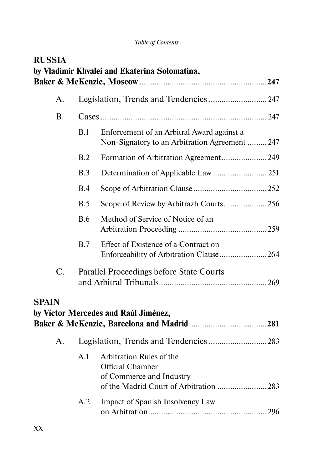| <b>RUSSIA</b>  |            | by Vladimir Khvalei and Ekaterina Solomatina,                                                                             |  |
|----------------|------------|---------------------------------------------------------------------------------------------------------------------------|--|
| A.             |            | Legislation, Trends and Tendencies  247                                                                                   |  |
| <b>B.</b>      |            |                                                                                                                           |  |
|                | B.1        | Enforcement of an Arbitral Award against a<br>Non-Signatory to an Arbitration Agreement  247                              |  |
|                | B.2        | Formation of Arbitration Agreement249                                                                                     |  |
|                | B.3        |                                                                                                                           |  |
|                | B.4        |                                                                                                                           |  |
|                | B.5        | Scope of Review by Arbitrazh Courts256                                                                                    |  |
|                | <b>B.6</b> | Method of Service of Notice of an                                                                                         |  |
|                | B.7        | Effect of Existence of a Contract on<br>Enforceability of Arbitration Clause264                                           |  |
| C.             |            | Parallel Proceedings before State Courts                                                                                  |  |
| <b>SPAIN</b>   |            | by Víctor Mercedes and Raúl Jiménez,                                                                                      |  |
| $\mathsf{A}$ . |            |                                                                                                                           |  |
|                | A.1        | Arbitration Rules of the<br><b>Official Chamber</b><br>of Commerce and Industry<br>of the Madrid Court of Arbitration 283 |  |
|                | A.2        | Impact of Spanish Insolvency Law                                                                                          |  |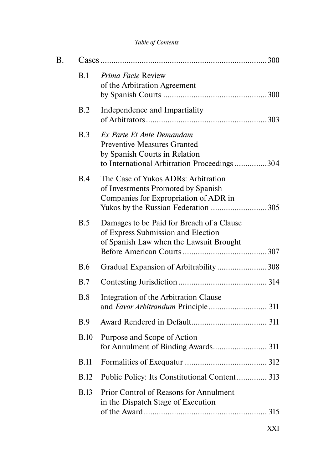| B. |             |                                                                                                                                                           |  |
|----|-------------|-----------------------------------------------------------------------------------------------------------------------------------------------------------|--|
|    | B.1         | <i>Prima Facie Review</i><br>of the Arbitration Agreement                                                                                                 |  |
|    | B.2         | Independence and Impartiality                                                                                                                             |  |
|    | B.3         | Ex Parte Et Ante Demandam<br><b>Preventive Measures Granted</b><br>by Spanish Courts in Relation<br>to International Arbitration Proceedings304           |  |
|    | <b>B.4</b>  | The Case of Yukos ADRs: Arbitration<br>of Investments Promoted by Spanish<br>Companies for Expropriation of ADR in<br>Yukos by the Russian Federation 305 |  |
|    | <b>B.5</b>  | Damages to be Paid for Breach of a Clause<br>of Express Submission and Election<br>of Spanish Law when the Lawsuit Brought                                |  |
|    | <b>B.6</b>  | Gradual Expansion of Arbitrability 308                                                                                                                    |  |
|    | B.7         |                                                                                                                                                           |  |
|    | B.8         | Integration of the Arbitration Clause                                                                                                                     |  |
|    | B.9         |                                                                                                                                                           |  |
|    | <b>B.10</b> | Purpose and Scope of Action<br>for Annulment of Binding Awards 311                                                                                        |  |
|    | <b>B.11</b> |                                                                                                                                                           |  |
|    | <b>B.12</b> | Public Policy: Its Constitutional Content 313                                                                                                             |  |
|    | <b>B.13</b> | Prior Control of Reasons for Annulment<br>in the Dispatch Stage of Execution                                                                              |  |
|    |             |                                                                                                                                                           |  |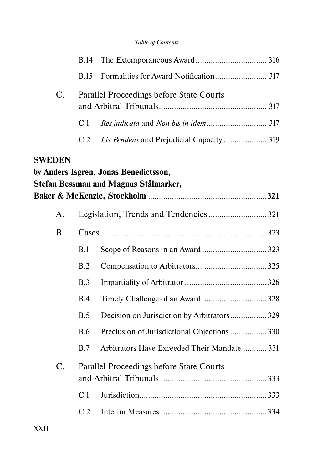|                 | <b>B.14</b> |                                              |  |
|-----------------|-------------|----------------------------------------------|--|
|                 | <b>B.15</b> |                                              |  |
| $\mathcal{C}$ . |             | Parallel Proceedings before State Courts     |  |
|                 | C.1         |                                              |  |
|                 | C.2         | Lis Pendens and Prejudicial Capacity  319    |  |
| <b>SWEDEN</b>   |             |                                              |  |
|                 |             | by Anders Isgren, Jonas Benedictsson,        |  |
|                 |             | Stefan Bessman and Magnus Stålmarker,        |  |
| A.              |             |                                              |  |
| <b>B.</b>       |             |                                              |  |
|                 | B.1         |                                              |  |
|                 | B.2         |                                              |  |
|                 | B.3         |                                              |  |
|                 | B.4         | Timely Challenge of an Award 328             |  |
|                 | B.5         | Decision on Jurisdiction by Arbitrators329   |  |
|                 | <b>B.6</b>  | Preclusion of Jurisdictional Objections 330  |  |
|                 | B.7         | Arbitrators Have Exceeded Their Mandate  331 |  |
| C.              |             | Parallel Proceedings before State Courts     |  |
|                 |             |                                              |  |
|                 | C.1         |                                              |  |
|                 | C.2         |                                              |  |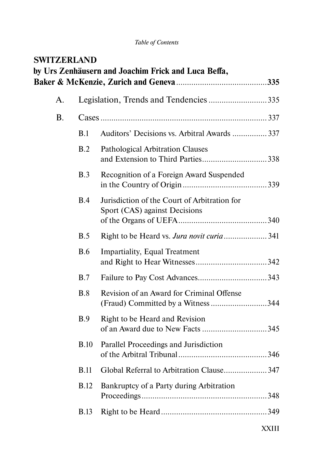| <b>SWITZERLAND</b> |             | by Urs Zenhäusern and Joachim Frick and Luca Beffa,                             |  |
|--------------------|-------------|---------------------------------------------------------------------------------|--|
| А.                 |             | Legislation, Trends and Tendencies 335                                          |  |
| <b>B.</b>          |             |                                                                                 |  |
|                    | B.1         | Auditors' Decisions vs. Arbitral Awards  337                                    |  |
|                    | B.2         | Pathological Arbitration Clauses<br>and Extension to Third Parties338           |  |
|                    | B.3         | Recognition of a Foreign Award Suspended                                        |  |
|                    | B.4         | Jurisdiction of the Court of Arbitration for<br>Sport (CAS) against Decisions   |  |
|                    | B.5         | Right to be Heard vs. Jura novit curia 341                                      |  |
|                    | <b>B.6</b>  | <b>Impartiality, Equal Treatment</b>                                            |  |
|                    | B.7         |                                                                                 |  |
|                    | B.8         | Revision of an Award for Criminal Offense<br>(Fraud) Committed by a Witness 344 |  |
|                    | B.9         | Right to be Heard and Revision<br>of an Award due to New Facts 345              |  |
|                    | <b>B.10</b> | Parallel Proceedings and Jurisdiction                                           |  |
|                    | <b>B.11</b> | Global Referral to Arbitration Clause347                                        |  |
|                    | <b>B.12</b> | Bankruptcy of a Party during Arbitration                                        |  |
|                    | <b>B.13</b> |                                                                                 |  |
|                    |             |                                                                                 |  |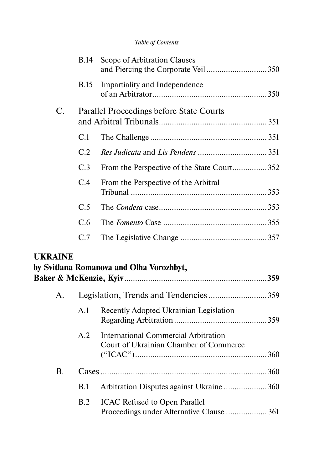|    | B.14        | Scope of Arbitration Clauses               |  |
|----|-------------|--------------------------------------------|--|
|    | <b>B.15</b> | Impartiality and Independence              |  |
| C. |             | Parallel Proceedings before State Courts   |  |
|    | C.1         |                                            |  |
|    | C.2         |                                            |  |
|    | C.3         | From the Perspective of the State Court352 |  |
|    | C.4         | From the Perspective of the Arbitral       |  |
|    | C.5         |                                            |  |
|    | C.6         |                                            |  |
|    | C.7         |                                            |  |
|    |             |                                            |  |

### **UKRAINE**

|                |     | by Svitlana Romanova and Olha Vorozhbyt,                                       |  |
|----------------|-----|--------------------------------------------------------------------------------|--|
| A.             |     | Legislation, Trends and Tendencies359                                          |  |
|                | A.1 | Recently Adopted Ukrainian Legislation                                         |  |
|                | A.2 | International Commercial Arbitration<br>Court of Ukrainian Chamber of Commerce |  |
| $\mathbf{B}$ . |     |                                                                                |  |
|                | B.1 | Arbitration Disputes against Ukraine360                                        |  |
|                |     | <b>B.2</b> ICAC Refused to Open Parallel                                       |  |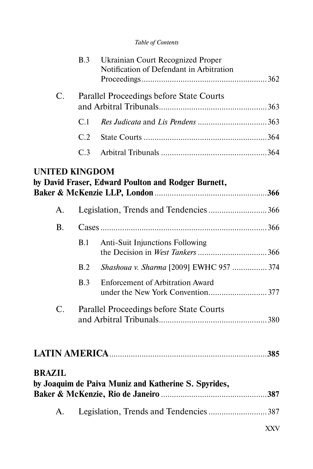|                       | B.3                                      | Ukrainian Court Recognized Proper<br>Notification of Defendant in Arbitration |            |
|-----------------------|------------------------------------------|-------------------------------------------------------------------------------|------------|
| C.                    | Parallel Proceedings before State Courts |                                                                               |            |
|                       | C.1                                      |                                                                               |            |
|                       | C.2                                      |                                                                               |            |
|                       | C.3                                      |                                                                               |            |
| <b>UNITED KINGDOM</b> |                                          | by David Fraser, Edward Poulton and Rodger Burnett,                           |            |
| $\mathsf{A}$ .        |                                          | Legislation, Trends and Tendencies 366                                        |            |
| <b>B.</b>             |                                          |                                                                               |            |
|                       | B.1                                      | <b>Anti-Suit Injunctions Following</b>                                        |            |
|                       | B.2                                      | Shashoua v. Sharma [2009] EWHC 957  374                                       |            |
|                       | B.3                                      | <b>Enforcement of Arbitration Award</b>                                       |            |
| C.                    | Parallel Proceedings before State Courts |                                                                               |            |
|                       |                                          |                                                                               |            |
| <b>BRAZIL</b>         |                                          | by Joaquim de Paiva Muniz and Katherine S. Spyrides,                          |            |
| А.                    |                                          | Legislation, Trends and Tendencies 387                                        |            |
|                       |                                          |                                                                               | <b>XXV</b> |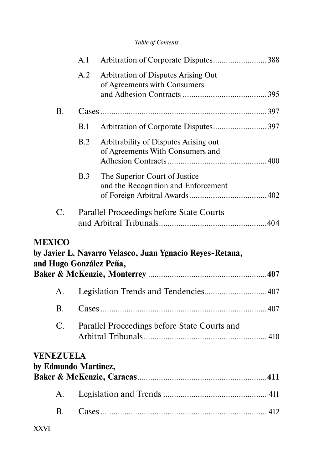|               |                                          | A.1                                      | Arbitration of Corporate Disputes388                                                |  |
|---------------|------------------------------------------|------------------------------------------|-------------------------------------------------------------------------------------|--|
|               |                                          | A.2                                      | Arbitration of Disputes Arising Out<br>of Agreements with Consumers                 |  |
|               | <b>B.</b>                                |                                          |                                                                                     |  |
|               |                                          | B.1                                      | Arbitration of Corporate Disputes397                                                |  |
|               |                                          | B.2                                      | Arbitrability of Disputes Arising out<br>of Agreements With Consumers and           |  |
|               |                                          | B.3                                      | The Superior Court of Justice<br>and the Recognition and Enforcement                |  |
|               | C.                                       | Parallel Proceedings before State Courts |                                                                                     |  |
| <b>MEXICO</b> |                                          |                                          | by Javier L. Navarro Velasco, Juan Ygnacio Reyes-Retana,<br>and Hugo González Peña, |  |
|               | A.                                       |                                          | Legislation Trends and Tendencies407                                                |  |
|               | <b>B.</b>                                |                                          |                                                                                     |  |
|               | $\mathcal{C}$ .                          |                                          | Parallel Proceedings before State Courts and                                        |  |
|               | <b>VENEZUELA</b><br>by Edmundo Martinez, |                                          |                                                                                     |  |
|               | A.                                       |                                          |                                                                                     |  |
|               |                                          |                                          |                                                                                     |  |
|               | <b>B.</b>                                |                                          |                                                                                     |  |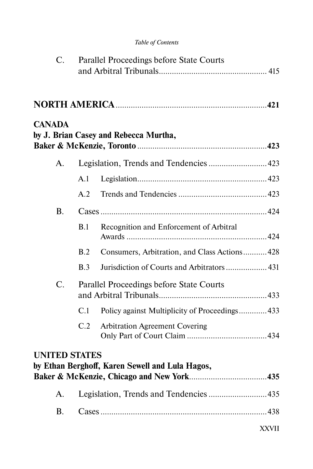|  |  | Table of Contents |
|--|--|-------------------|
|--|--|-------------------|

| C.                   |                                          | Parallel Proceedings before State Courts        |              |
|----------------------|------------------------------------------|-------------------------------------------------|--------------|
|                      |                                          |                                                 |              |
| <b>CANADA</b>        |                                          | by J. Brian Casey and Rebecca Murtha,           |              |
| A.                   |                                          |                                                 |              |
|                      | A.1                                      |                                                 |              |
|                      | A.2                                      |                                                 |              |
| <b>B.</b>            |                                          |                                                 |              |
|                      | B.1                                      | Recognition and Enforcement of Arbitral         |              |
|                      | B.2                                      | Consumers, Arbitration, and Class Actions 428   |              |
|                      | B.3                                      | Jurisdiction of Courts and Arbitrators  431     |              |
| C.                   | Parallel Proceedings before State Courts |                                                 |              |
|                      | C.1                                      | Policy against Multiplicity of Proceedings 433  |              |
|                      | C.2                                      | <b>Arbitration Agreement Covering</b>           |              |
| <b>UNITED STATES</b> |                                          | by Ethan Berghoff, Karen Sewell and Lula Hagos, |              |
|                      |                                          |                                                 |              |
| A.                   |                                          |                                                 |              |
| <b>B.</b>            |                                          |                                                 |              |
|                      |                                          |                                                 | <b>XXVII</b> |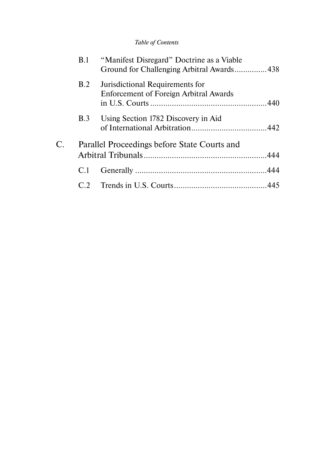|    | <b>B.1</b> | "Manifest Disregard" Doctrine as a Viable<br>Ground for Challenging Arbitral Awards438 |  |
|----|------------|----------------------------------------------------------------------------------------|--|
|    | B.2        | Jurisdictional Requirements for<br><b>Enforcement of Foreign Arbitral Awards</b>       |  |
|    | <b>B.3</b> | Using Section 1782 Discovery in Aid                                                    |  |
| C. |            | Parallel Proceedings before State Courts and                                           |  |
|    | C.1        |                                                                                        |  |
|    | C2         |                                                                                        |  |